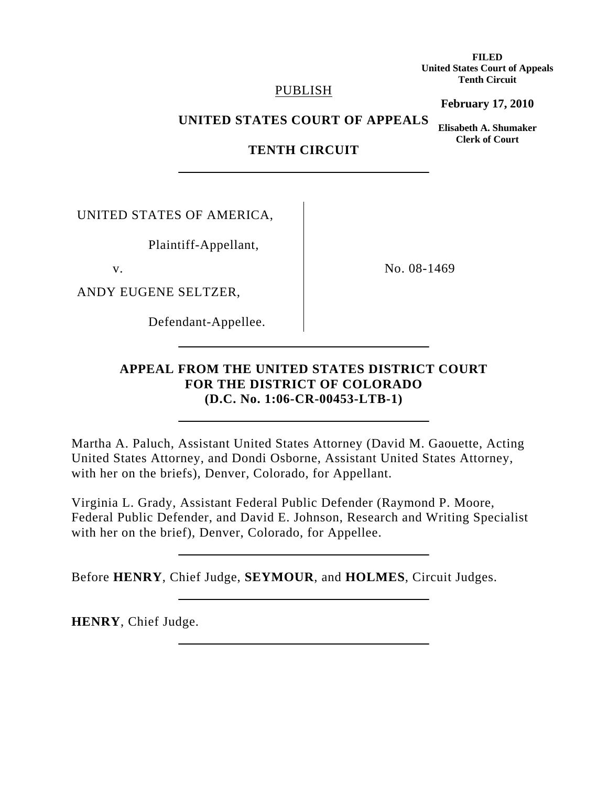**FILED United States Court of Appeals Tenth Circuit** 

## PUBLISH

**February 17, 2010**

**UNITED STATES COURT OF APPEALS** 

**Elisabeth A. Shumaker Clerk of Court**

# **TENTH CIRCUIT**

UNITED STATES OF AMERICA,

Plaintiff-Appellant,

ANDY EUGENE SELTZER,

Defendant-Appellee.

v. No. 08-1469

## **APPEAL FROM THE UNITED STATES DISTRICT COURT FOR THE DISTRICT OF COLORADO (D.C. No. 1:06-CR-00453-LTB-1)**

Martha A. Paluch, Assistant United States Attorney (David M. Gaouette, Acting United States Attorney, and Dondi Osborne, Assistant United States Attorney, with her on the briefs), Denver, Colorado, for Appellant.

Virginia L. Grady, Assistant Federal Public Defender (Raymond P. Moore, Federal Public Defender, and David E. Johnson, Research and Writing Specialist with her on the brief), Denver, Colorado, for Appellee.

Before **HENRY**, Chief Judge, **SEYMOUR**, and **HOLMES**, Circuit Judges.

**HENRY**, Chief Judge.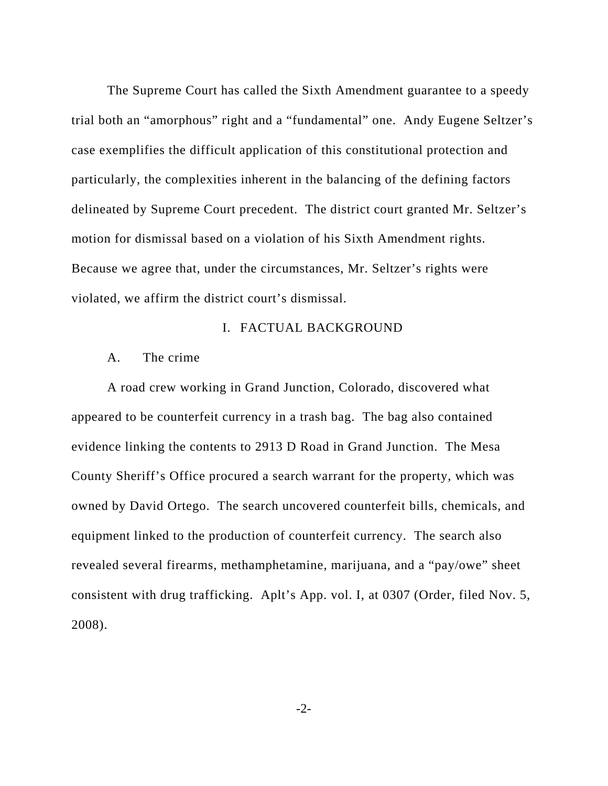The Supreme Court has called the Sixth Amendment guarantee to a speedy trial both an "amorphous" right and a "fundamental" one. Andy Eugene Seltzer's case exemplifies the difficult application of this constitutional protection and particularly, the complexities inherent in the balancing of the defining factors delineated by Supreme Court precedent. The district court granted Mr. Seltzer's motion for dismissal based on a violation of his Sixth Amendment rights. Because we agree that, under the circumstances, Mr. Seltzer's rights were violated, we affirm the district court's dismissal.

## I. FACTUAL BACKGROUND

## A. The crime

 A road crew working in Grand Junction, Colorado, discovered what appeared to be counterfeit currency in a trash bag. The bag also contained evidence linking the contents to 2913 D Road in Grand Junction. The Mesa County Sheriff's Office procured a search warrant for the property, which was owned by David Ortego. The search uncovered counterfeit bills, chemicals, and equipment linked to the production of counterfeit currency. The search also revealed several firearms, methamphetamine, marijuana, and a "pay/owe" sheet consistent with drug trafficking. Aplt's App. vol. I, at 0307 (Order, filed Nov. 5, 2008).

-2-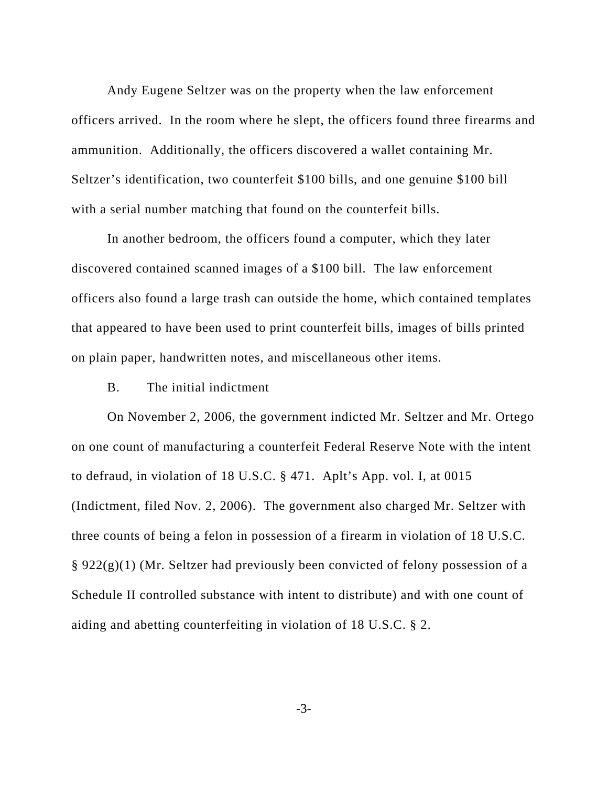Andy Eugene Seltzer was on the property when the law enforcement officers arrived. In the room where he slept, the officers found three firearms and ammunition. Additionally, the officers discovered a wallet containing Mr. Seltzer's identification, two counterfeit \$100 bills, and one genuine \$100 bill with a serial number matching that found on the counterfeit bills.

 In another bedroom, the officers found a computer, which they later discovered contained scanned images of a \$100 bill. The law enforcement officers also found a large trash can outside the home, which contained templates that appeared to have been used to print counterfeit bills, images of bills printed on plain paper, handwritten notes, and miscellaneous other items.

B. The initial indictment

On November 2, 2006, the government indicted Mr. Seltzer and Mr. Ortego on one count of manufacturing a counterfeit Federal Reserve Note with the intent to defraud, in violation of 18 U.S.C. § 471. Aplt's App. vol. I, at 0015 (Indictment, filed Nov. 2, 2006). The government also charged Mr. Seltzer with three counts of being a felon in possession of a firearm in violation of 18 U.S.C.  $\S 922(g)(1)$  (Mr. Seltzer had previously been convicted of felony possession of a Schedule II controlled substance with intent to distribute) and with one count of aiding and abetting counterfeiting in violation of 18 U.S.C. § 2.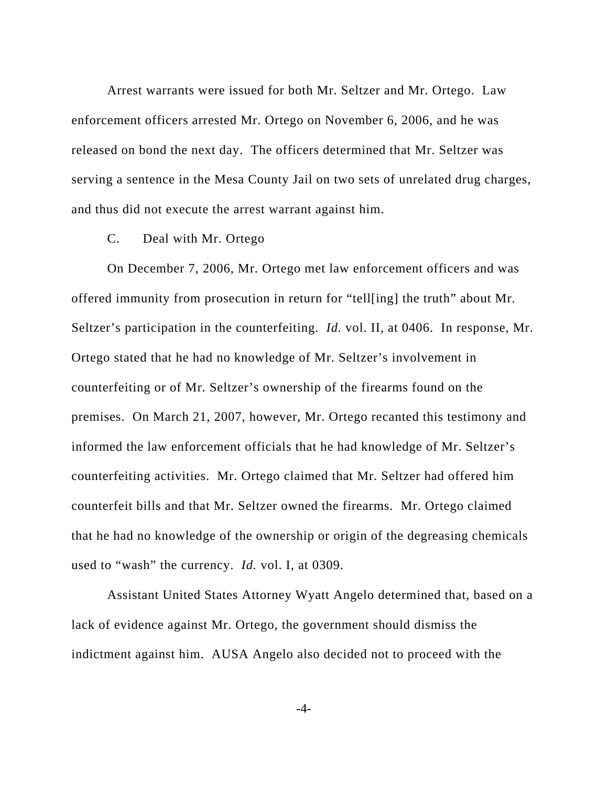Arrest warrants were issued for both Mr. Seltzer and Mr. Ortego. Law enforcement officers arrested Mr. Ortego on November 6, 2006, and he was released on bond the next day. The officers determined that Mr. Seltzer was serving a sentence in the Mesa County Jail on two sets of unrelated drug charges, and thus did not execute the arrest warrant against him.

## C. Deal with Mr. Ortego

 On December 7, 2006, Mr. Ortego met law enforcement officers and was offered immunity from prosecution in return for "tell[ing] the truth" about Mr. Seltzer's participation in the counterfeiting. *Id.* vol. II, at 0406. In response, Mr. Ortego stated that he had no knowledge of Mr. Seltzer's involvement in counterfeiting or of Mr. Seltzer's ownership of the firearms found on the premises. On March 21, 2007, however, Mr. Ortego recanted this testimony and informed the law enforcement officials that he had knowledge of Mr. Seltzer's counterfeiting activities. Mr. Ortego claimed that Mr. Seltzer had offered him counterfeit bills and that Mr. Seltzer owned the firearms. Mr. Ortego claimed that he had no knowledge of the ownership or origin of the degreasing chemicals used to "wash" the currency. *Id.* vol. I, at 0309.

 Assistant United States Attorney Wyatt Angelo determined that, based on a lack of evidence against Mr. Ortego, the government should dismiss the indictment against him. AUSA Angelo also decided not to proceed with the

-4-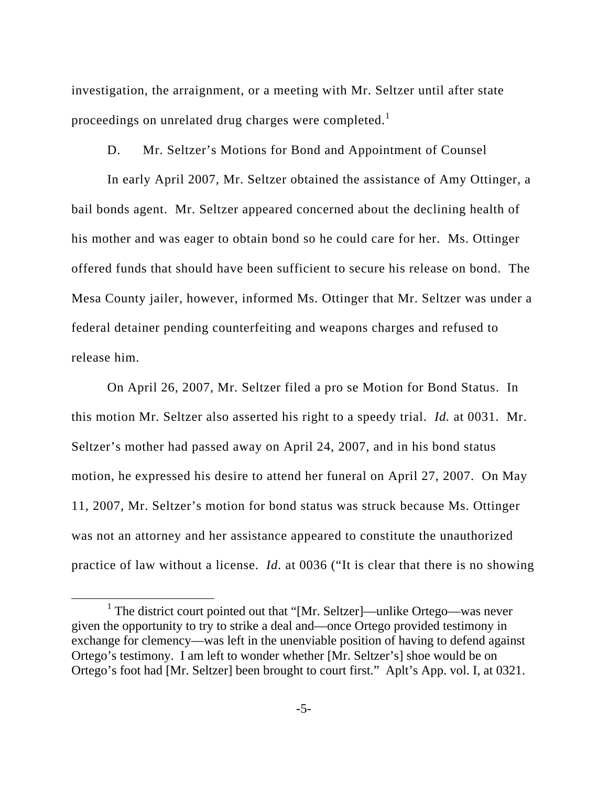investigation, the arraignment, or a meeting with Mr. Seltzer until after state proceedings on unrelated drug charges were completed.<sup>1</sup>

D. Mr. Seltzer's Motions for Bond and Appointment of Counsel

In early April 2007, Mr. Seltzer obtained the assistance of Amy Ottinger, a bail bonds agent. Mr. Seltzer appeared concerned about the declining health of his mother and was eager to obtain bond so he could care for her. Ms. Ottinger offered funds that should have been sufficient to secure his release on bond. The Mesa County jailer, however, informed Ms. Ottinger that Mr. Seltzer was under a federal detainer pending counterfeiting and weapons charges and refused to release him.

 On April 26, 2007, Mr. Seltzer filed a pro se Motion for Bond Status. In this motion Mr. Seltzer also asserted his right to a speedy trial. *Id.* at 0031. Mr. Seltzer's mother had passed away on April 24, 2007, and in his bond status motion, he expressed his desire to attend her funeral on April 27, 2007. On May 11, 2007, Mr. Seltzer's motion for bond status was struck because Ms. Ottinger was not an attorney and her assistance appeared to constitute the unauthorized practice of law without a license. *Id.* at 0036 ("It is clear that there is no showing

 $\frac{1}{1}$ <sup>1</sup> The district court pointed out that "[Mr. Seltzer]—unlike Ortego—was never given the opportunity to try to strike a deal and—once Ortego provided testimony in exchange for clemency—was left in the unenviable position of having to defend against Ortego's testimony. I am left to wonder whether [Mr. Seltzer's] shoe would be on Ortego's foot had [Mr. Seltzer] been brought to court first." Aplt's App. vol. I, at 0321.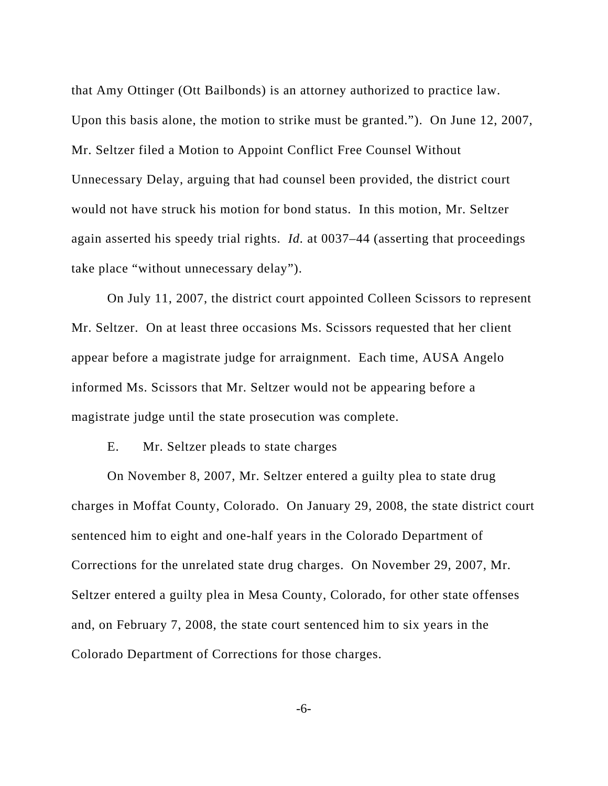that Amy Ottinger (Ott Bailbonds) is an attorney authorized to practice law. Upon this basis alone, the motion to strike must be granted."). On June 12, 2007, Mr. Seltzer filed a Motion to Appoint Conflict Free Counsel Without Unnecessary Delay, arguing that had counsel been provided, the district court would not have struck his motion for bond status. In this motion, Mr. Seltzer again asserted his speedy trial rights. *Id.* at 0037–44 (asserting that proceedings take place "without unnecessary delay").

 On July 11, 2007, the district court appointed Colleen Scissors to represent Mr. Seltzer. On at least three occasions Ms. Scissors requested that her client appear before a magistrate judge for arraignment. Each time, AUSA Angelo informed Ms. Scissors that Mr. Seltzer would not be appearing before a magistrate judge until the state prosecution was complete.

E. Mr. Seltzer pleads to state charges

On November 8, 2007, Mr. Seltzer entered a guilty plea to state drug charges in Moffat County, Colorado. On January 29, 2008, the state district court sentenced him to eight and one-half years in the Colorado Department of Corrections for the unrelated state drug charges. On November 29, 2007, Mr. Seltzer entered a guilty plea in Mesa County, Colorado, for other state offenses and, on February 7, 2008, the state court sentenced him to six years in the Colorado Department of Corrections for those charges.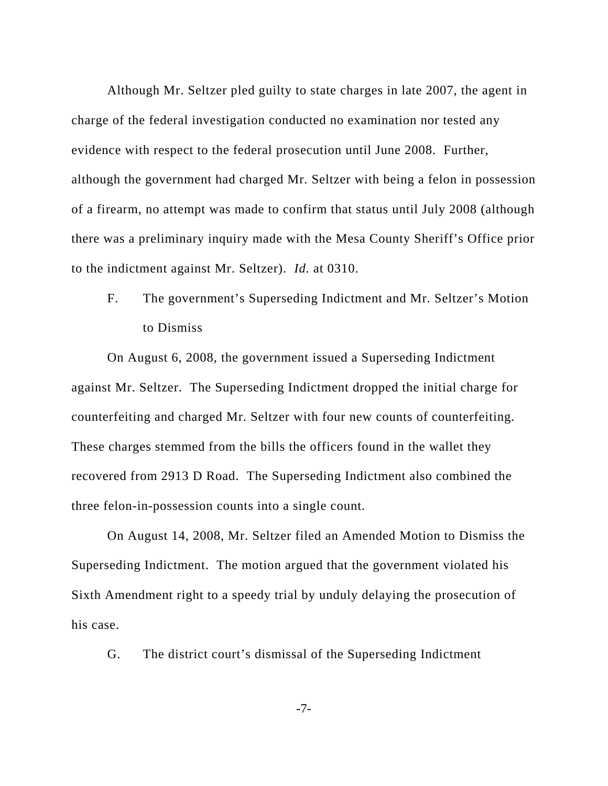Although Mr. Seltzer pled guilty to state charges in late 2007, the agent in charge of the federal investigation conducted no examination nor tested any evidence with respect to the federal prosecution until June 2008. Further, although the government had charged Mr. Seltzer with being a felon in possession of a firearm, no attempt was made to confirm that status until July 2008 (although there was a preliminary inquiry made with the Mesa County Sheriff's Office prior to the indictment against Mr. Seltzer). *Id.* at 0310.

F. The government's Superseding Indictment and Mr. Seltzer's Motion to Dismiss

 On August 6, 2008, the government issued a Superseding Indictment against Mr. Seltzer. The Superseding Indictment dropped the initial charge for counterfeiting and charged Mr. Seltzer with four new counts of counterfeiting. These charges stemmed from the bills the officers found in the wallet they recovered from 2913 D Road. The Superseding Indictment also combined the three felon-in-possession counts into a single count.

 On August 14, 2008, Mr. Seltzer filed an Amended Motion to Dismiss the Superseding Indictment. The motion argued that the government violated his Sixth Amendment right to a speedy trial by unduly delaying the prosecution of his case.

G. The district court's dismissal of the Superseding Indictment

-7-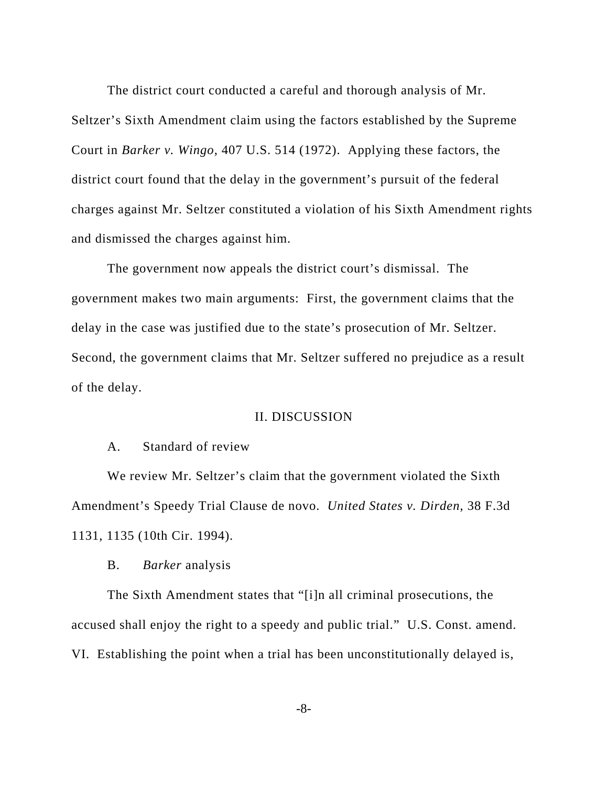The district court conducted a careful and thorough analysis of Mr.

Seltzer's Sixth Amendment claim using the factors established by the Supreme Court in *Barker v. Wingo*, 407 U.S. 514 (1972). Applying these factors, the district court found that the delay in the government's pursuit of the federal charges against Mr. Seltzer constituted a violation of his Sixth Amendment rights and dismissed the charges against him.

 The government now appeals the district court's dismissal. The government makes two main arguments: First, the government claims that the delay in the case was justified due to the state's prosecution of Mr. Seltzer. Second, the government claims that Mr. Seltzer suffered no prejudice as a result of the delay.

#### II. DISCUSSION

#### A. Standard of review

 We review Mr. Seltzer's claim that the government violated the Sixth Amendment's Speedy Trial Clause de novo. *United States v. Dirden*, 38 F.3d 1131, 1135 (10th Cir. 1994).

## B. *Barker* analysis

 The Sixth Amendment states that "[i]n all criminal prosecutions, the accused shall enjoy the right to a speedy and public trial." U.S. Const. amend. VI. Establishing the point when a trial has been unconstitutionally delayed is,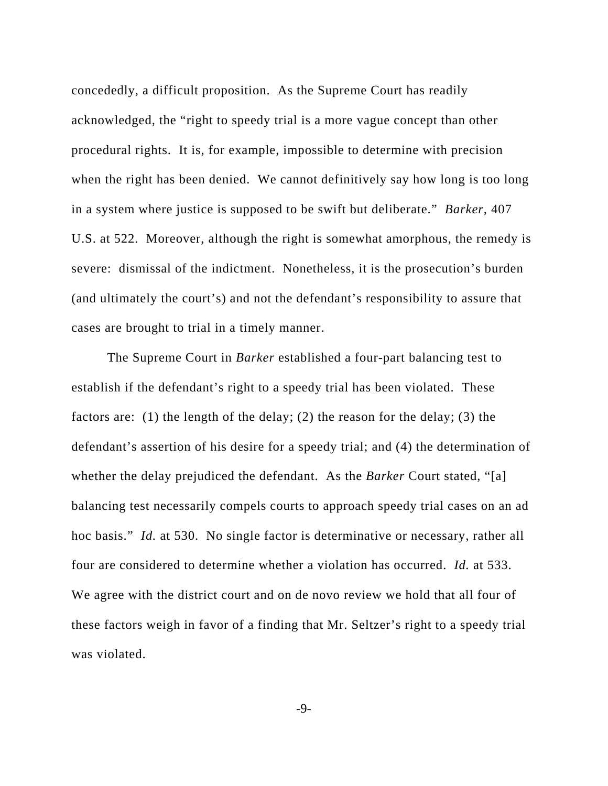concededly, a difficult proposition. As the Supreme Court has readily acknowledged, the "right to speedy trial is a more vague concept than other procedural rights. It is, for example, impossible to determine with precision when the right has been denied. We cannot definitively say how long is too long in a system where justice is supposed to be swift but deliberate." *Barker*, 407 U.S. at 522. Moreover, although the right is somewhat amorphous, the remedy is severe: dismissal of the indictment. Nonetheless, it is the prosecution's burden (and ultimately the court's) and not the defendant's responsibility to assure that cases are brought to trial in a timely manner.

 The Supreme Court in *Barker* established a four-part balancing test to establish if the defendant's right to a speedy trial has been violated. These factors are: (1) the length of the delay; (2) the reason for the delay; (3) the defendant's assertion of his desire for a speedy trial; and (4) the determination of whether the delay prejudiced the defendant. As the *Barker* Court stated, "[a] balancing test necessarily compels courts to approach speedy trial cases on an ad hoc basis." *Id.* at 530. No single factor is determinative or necessary, rather all four are considered to determine whether a violation has occurred. *Id.* at 533. We agree with the district court and on de novo review we hold that all four of these factors weigh in favor of a finding that Mr. Seltzer's right to a speedy trial was violated.

-9-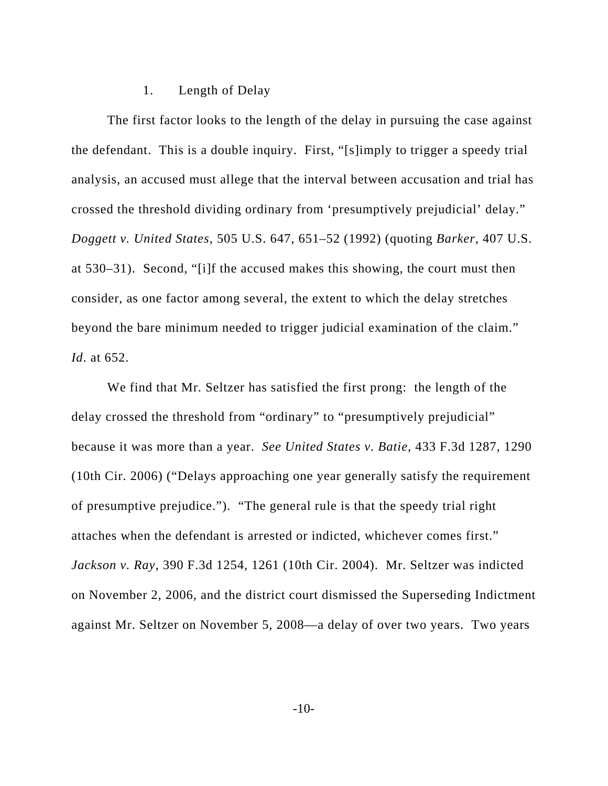## 1. Length of Delay

 The first factor looks to the length of the delay in pursuing the case against the defendant. This is a double inquiry. First, "[s]imply to trigger a speedy trial analysis, an accused must allege that the interval between accusation and trial has crossed the threshold dividing ordinary from 'presumptively prejudicial' delay." *Doggett v. United States*, 505 U.S. 647, 651–52 (1992) (quoting *Barker*, 407 U.S. at 530–31). Second, "[i]f the accused makes this showing, the court must then consider, as one factor among several, the extent to which the delay stretches beyond the bare minimum needed to trigger judicial examination of the claim." *Id*. at 652.

 We find that Mr. Seltzer has satisfied the first prong: the length of the delay crossed the threshold from "ordinary" to "presumptively prejudicial" because it was more than a year. *See United States v. Batie*, 433 F.3d 1287, 1290 (10th Cir. 2006) ("Delays approaching one year generally satisfy the requirement of presumptive prejudice."). "The general rule is that the speedy trial right attaches when the defendant is arrested or indicted, whichever comes first." *Jackson v. Ray*, 390 F.3d 1254, 1261 (10th Cir. 2004). Mr. Seltzer was indicted on November 2, 2006, and the district court dismissed the Superseding Indictment against Mr. Seltzer on November 5, 2008—a delay of over two years. Two years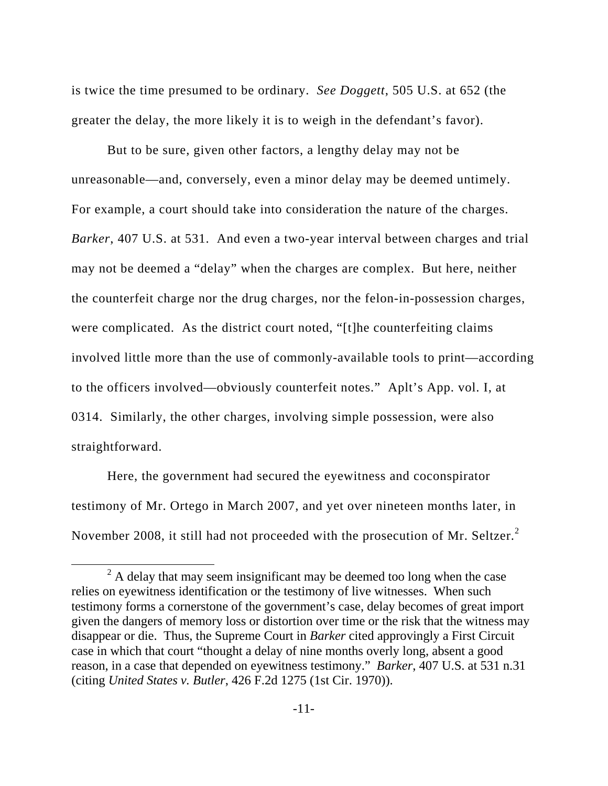is twice the time presumed to be ordinary. *See Doggett*, 505 U.S. at 652 (the greater the delay, the more likely it is to weigh in the defendant's favor).

But to be sure, given other factors, a lengthy delay may not be unreasonable—and, conversely, even a minor delay may be deemed untimely. For example, a court should take into consideration the nature of the charges. *Barker*, 407 U.S. at 531. And even a two-year interval between charges and trial may not be deemed a "delay" when the charges are complex. But here, neither the counterfeit charge nor the drug charges, nor the felon-in-possession charges, were complicated. As the district court noted, "[t]he counterfeiting claims involved little more than the use of commonly-available tools to print—according to the officers involved—obviously counterfeit notes." Aplt's App. vol. I, at 0314. Similarly, the other charges, involving simple possession, were also straightforward.

Here, the government had secured the eyewitness and coconspirator testimony of Mr. Ortego in March 2007, and yet over nineteen months later, in November 2008, it still had not proceeded with the prosecution of Mr. Seltzer.<sup>2</sup>

 <sup>2</sup>  $2A$  delay that may seem insignificant may be deemed too long when the case relies on eyewitness identification or the testimony of live witnesses. When such testimony forms a cornerstone of the government's case, delay becomes of great import given the dangers of memory loss or distortion over time or the risk that the witness may disappear or die. Thus, the Supreme Court in *Barker* cited approvingly a First Circuit case in which that court "thought a delay of nine months overly long, absent a good reason, in a case that depended on eyewitness testimony." *Barker*, 407 U.S. at 531 n.31 (citing *United States v. Butler*, 426 F.2d 1275 (1st Cir. 1970)).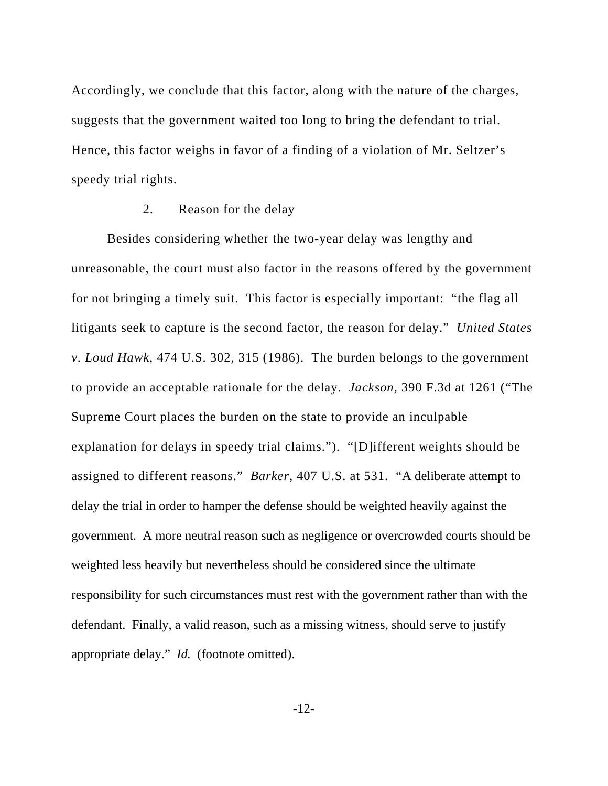Accordingly, we conclude that this factor, along with the nature of the charges, suggests that the government waited too long to bring the defendant to trial. Hence, this factor weighs in favor of a finding of a violation of Mr. Seltzer's speedy trial rights.

## 2. Reason for the delay

Besides considering whether the two-year delay was lengthy and unreasonable, the court must also factor in the reasons offered by the government for not bringing a timely suit. This factor is especially important: "the flag all litigants seek to capture is the second factor, the reason for delay." *United States v. Loud Hawk*, 474 U.S. 302, 315 (1986). The burden belongs to the government to provide an acceptable rationale for the delay. *Jackson*, 390 F.3d at 1261 ("The Supreme Court places the burden on the state to provide an inculpable explanation for delays in speedy trial claims."). "[D]ifferent weights should be assigned to different reasons." *Barker*, 407 U.S. at 531. "A deliberate attempt to delay the trial in order to hamper the defense should be weighted heavily against the government. A more neutral reason such as negligence or overcrowded courts should be weighted less heavily but nevertheless should be considered since the ultimate responsibility for such circumstances must rest with the government rather than with the defendant. Finally, a valid reason, such as a missing witness, should serve to justify appropriate delay." *Id.* (footnote omitted).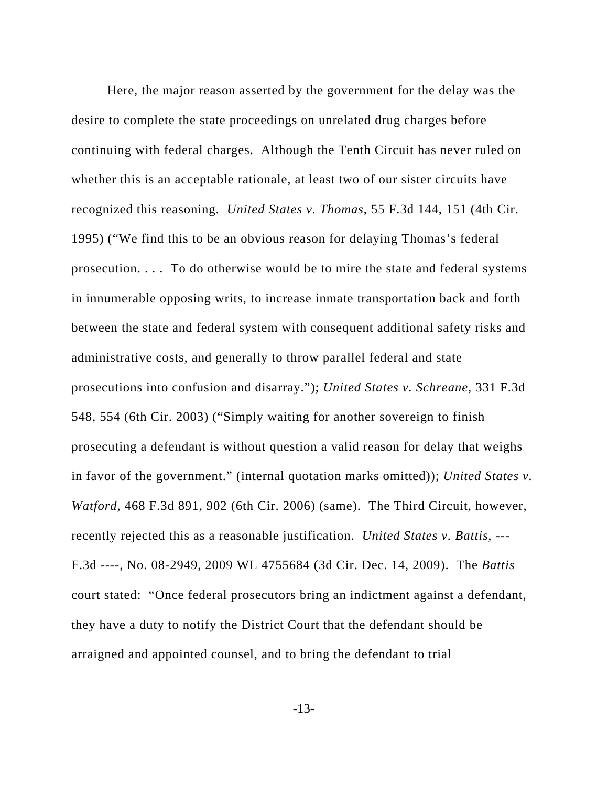Here, the major reason asserted by the government for the delay was the desire to complete the state proceedings on unrelated drug charges before continuing with federal charges. Although the Tenth Circuit has never ruled on whether this is an acceptable rationale, at least two of our sister circuits have recognized this reasoning. *United States v. Thomas*, 55 F.3d 144, 151 (4th Cir. 1995) ("We find this to be an obvious reason for delaying Thomas's federal prosecution. . . . To do otherwise would be to mire the state and federal systems in innumerable opposing writs, to increase inmate transportation back and forth between the state and federal system with consequent additional safety risks and administrative costs, and generally to throw parallel federal and state prosecutions into confusion and disarray."); *United States v. Schreane*, 331 F.3d 548, 554 (6th Cir. 2003) ("Simply waiting for another sovereign to finish prosecuting a defendant is without question a valid reason for delay that weighs in favor of the government." (internal quotation marks omitted)); *United States v. Watford*, 468 F.3d 891, 902 (6th Cir. 2006) (same). The Third Circuit, however, recently rejected this as a reasonable justification. *United States v. Battis*, --- F.3d ----, No. 08-2949, 2009 WL 4755684 (3d Cir. Dec. 14, 2009). The *Battis* court stated: "Once federal prosecutors bring an indictment against a defendant, they have a duty to notify the District Court that the defendant should be arraigned and appointed counsel, and to bring the defendant to trial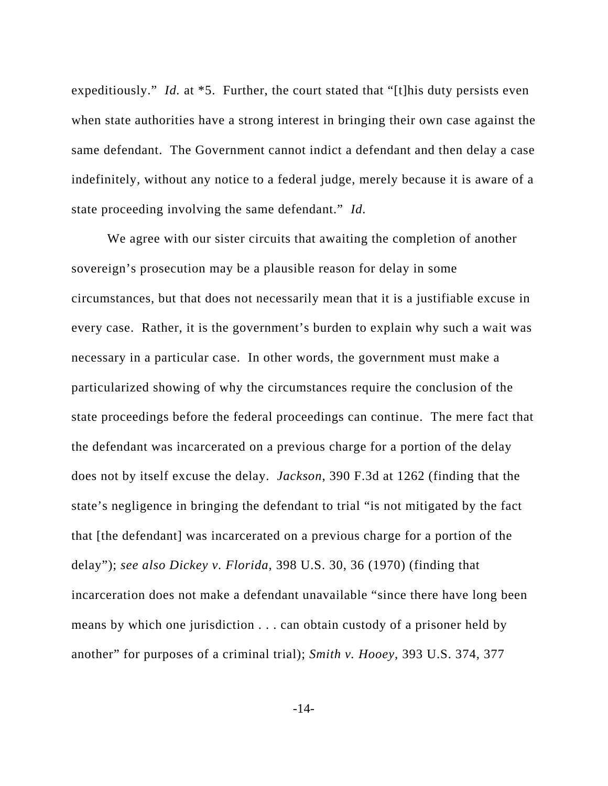expeditiously." *Id.* at \*5. Further, the court stated that "[t]his duty persists even when state authorities have a strong interest in bringing their own case against the same defendant. The Government cannot indict a defendant and then delay a case indefinitely, without any notice to a federal judge, merely because it is aware of a state proceeding involving the same defendant." *Id.*

We agree with our sister circuits that awaiting the completion of another sovereign's prosecution may be a plausible reason for delay in some circumstances, but that does not necessarily mean that it is a justifiable excuse in every case. Rather, it is the government's burden to explain why such a wait was necessary in a particular case. In other words, the government must make a particularized showing of why the circumstances require the conclusion of the state proceedings before the federal proceedings can continue. The mere fact that the defendant was incarcerated on a previous charge for a portion of the delay does not by itself excuse the delay. *Jackson*, 390 F.3d at 1262 (finding that the state's negligence in bringing the defendant to trial "is not mitigated by the fact that [the defendant] was incarcerated on a previous charge for a portion of the delay"); *see also Dickey v. Florida*, 398 U.S. 30, 36 (1970) (finding that incarceration does not make a defendant unavailable "since there have long been means by which one jurisdiction . . . can obtain custody of a prisoner held by another" for purposes of a criminal trial); *Smith v. Hooey*, 393 U.S. 374, 377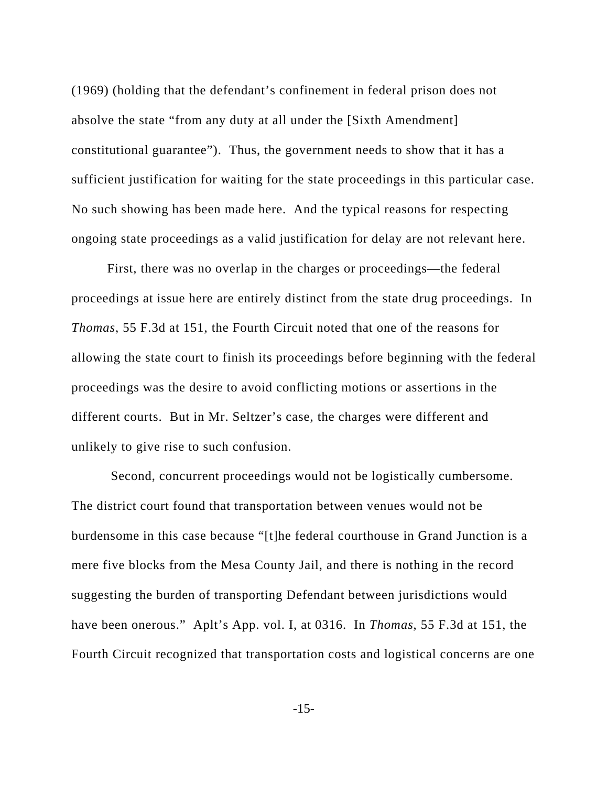(1969) (holding that the defendant's confinement in federal prison does not absolve the state "from any duty at all under the [Sixth Amendment] constitutional guarantee"). Thus, the government needs to show that it has a sufficient justification for waiting for the state proceedings in this particular case. No such showing has been made here. And the typical reasons for respecting ongoing state proceedings as a valid justification for delay are not relevant here.

First, there was no overlap in the charges or proceedings—the federal proceedings at issue here are entirely distinct from the state drug proceedings. In *Thomas*, 55 F.3d at 151, the Fourth Circuit noted that one of the reasons for allowing the state court to finish its proceedings before beginning with the federal proceedings was the desire to avoid conflicting motions or assertions in the different courts. But in Mr. Seltzer's case, the charges were different and unlikely to give rise to such confusion.

 Second, concurrent proceedings would not be logistically cumbersome. The district court found that transportation between venues would not be burdensome in this case because "[t]he federal courthouse in Grand Junction is a mere five blocks from the Mesa County Jail, and there is nothing in the record suggesting the burden of transporting Defendant between jurisdictions would have been onerous." Aplt's App. vol. I, at 0316. In *Thomas*, 55 F.3d at 151, the Fourth Circuit recognized that transportation costs and logistical concerns are one

-15-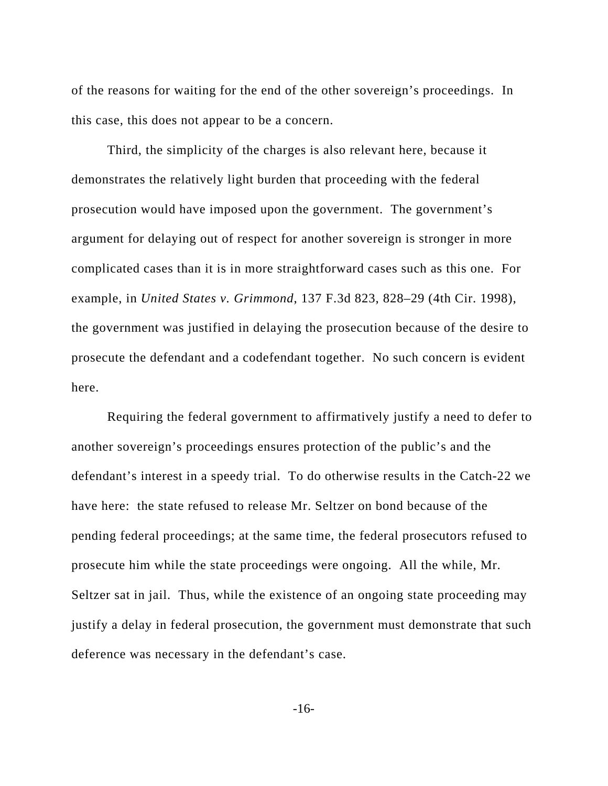of the reasons for waiting for the end of the other sovereign's proceedings. In this case, this does not appear to be a concern.

Third, the simplicity of the charges is also relevant here, because it demonstrates the relatively light burden that proceeding with the federal prosecution would have imposed upon the government. The government's argument for delaying out of respect for another sovereign is stronger in more complicated cases than it is in more straightforward cases such as this one. For example, in *United States v. Grimmond*, 137 F.3d 823, 828–29 (4th Cir. 1998), the government was justified in delaying the prosecution because of the desire to prosecute the defendant and a codefendant together. No such concern is evident here.

 Requiring the federal government to affirmatively justify a need to defer to another sovereign's proceedings ensures protection of the public's and the defendant's interest in a speedy trial. To do otherwise results in the Catch-22 we have here: the state refused to release Mr. Seltzer on bond because of the pending federal proceedings; at the same time, the federal prosecutors refused to prosecute him while the state proceedings were ongoing. All the while, Mr. Seltzer sat in jail. Thus, while the existence of an ongoing state proceeding may justify a delay in federal prosecution, the government must demonstrate that such deference was necessary in the defendant's case.

-16-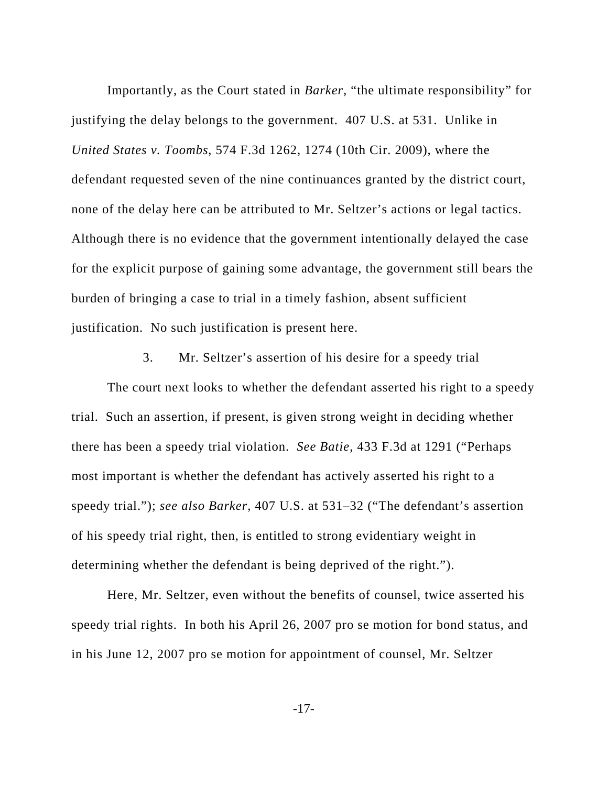Importantly, as the Court stated in *Barker*, "the ultimate responsibility" for justifying the delay belongs to the government. 407 U.S. at 531. Unlike in *United States v. Toombs*, 574 F.3d 1262, 1274 (10th Cir. 2009), where the defendant requested seven of the nine continuances granted by the district court, none of the delay here can be attributed to Mr. Seltzer's actions or legal tactics. Although there is no evidence that the government intentionally delayed the case for the explicit purpose of gaining some advantage, the government still bears the burden of bringing a case to trial in a timely fashion, absent sufficient justification. No such justification is present here.

3. Mr. Seltzer's assertion of his desire for a speedy trial

 The court next looks to whether the defendant asserted his right to a speedy trial. Such an assertion, if present, is given strong weight in deciding whether there has been a speedy trial violation. *See Batie*, 433 F.3d at 1291 ("Perhaps most important is whether the defendant has actively asserted his right to a speedy trial."); *see also Barker*, 407 U.S. at 531–32 ("The defendant's assertion of his speedy trial right, then, is entitled to strong evidentiary weight in determining whether the defendant is being deprived of the right.").

 Here, Mr. Seltzer, even without the benefits of counsel, twice asserted his speedy trial rights. In both his April 26, 2007 pro se motion for bond status, and in his June 12, 2007 pro se motion for appointment of counsel, Mr. Seltzer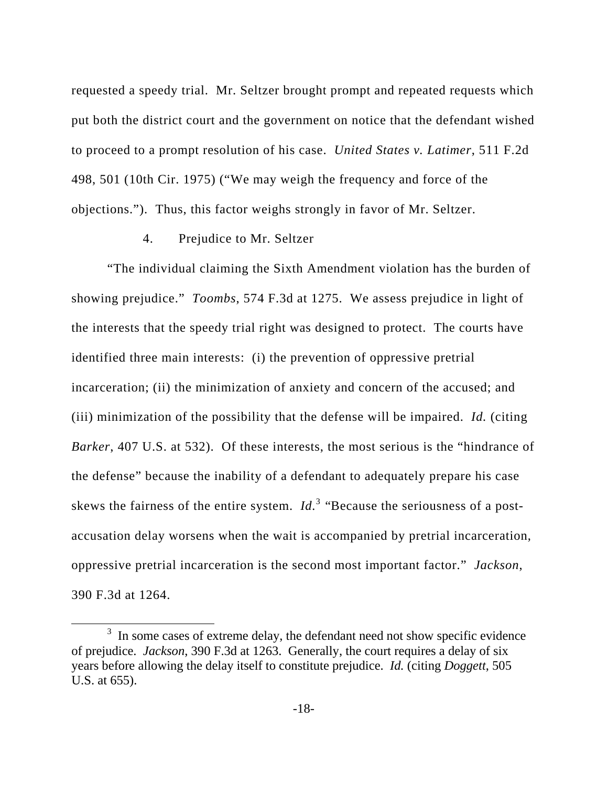requested a speedy trial. Mr. Seltzer brought prompt and repeated requests which put both the district court and the government on notice that the defendant wished to proceed to a prompt resolution of his case. *United States v. Latimer*, 511 F.2d 498, 501 (10th Cir. 1975) ("We may weigh the frequency and force of the objections."). Thus, this factor weighs strongly in favor of Mr. Seltzer.

## 4. Prejudice to Mr. Seltzer

 "The individual claiming the Sixth Amendment violation has the burden of showing prejudice." *Toombs*, 574 F.3d at 1275. We assess prejudice in light of the interests that the speedy trial right was designed to protect. The courts have identified three main interests: (i) the prevention of oppressive pretrial incarceration; (ii) the minimization of anxiety and concern of the accused; and (iii) minimization of the possibility that the defense will be impaired. *Id.* (citing *Barker*, 407 U.S. at 532). Of these interests, the most serious is the "hindrance of the defense" because the inability of a defendant to adequately prepare his case skews the fairness of the entire system.  $Id<sup>3</sup>$  "Because the seriousness of a postaccusation delay worsens when the wait is accompanied by pretrial incarceration, oppressive pretrial incarceration is the second most important factor." *Jackson*, 390 F.3d at 1264.

 $\frac{1}{3}$  $3\,$  In some cases of extreme delay, the defendant need not show specific evidence of prejudice. *Jackson*, 390 F.3d at 1263. Generally, the court requires a delay of six years before allowing the delay itself to constitute prejudice. *Id.* (citing *Doggett*, 505 U.S. at 655).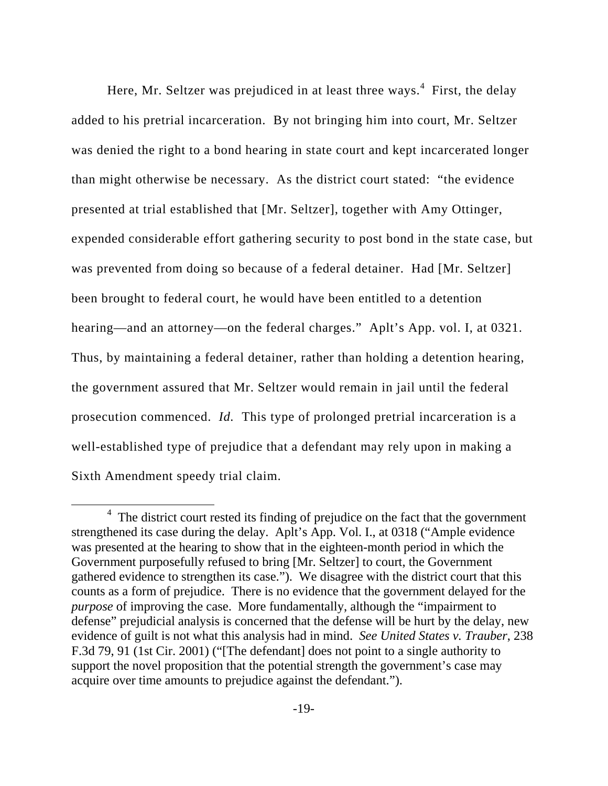Here, Mr. Seltzer was prejudiced in at least three ways. $4$  First, the delay added to his pretrial incarceration. By not bringing him into court, Mr. Seltzer was denied the right to a bond hearing in state court and kept incarcerated longer than might otherwise be necessary. As the district court stated: "the evidence presented at trial established that [Mr. Seltzer], together with Amy Ottinger, expended considerable effort gathering security to post bond in the state case, but was prevented from doing so because of a federal detainer. Had [Mr. Seltzer] been brought to federal court, he would have been entitled to a detention hearing—and an attorney—on the federal charges." Aplt's App. vol. I, at 0321. Thus, by maintaining a federal detainer, rather than holding a detention hearing, the government assured that Mr. Seltzer would remain in jail until the federal prosecution commenced. *Id.* This type of prolonged pretrial incarceration is a well-established type of prejudice that a defendant may rely upon in making a Sixth Amendment speedy trial claim.

 $\overline{4}$  $4$  The district court rested its finding of prejudice on the fact that the government strengthened its case during the delay. Aplt's App. Vol. I., at 0318 ("Ample evidence was presented at the hearing to show that in the eighteen-month period in which the Government purposefully refused to bring [Mr. Seltzer] to court, the Government gathered evidence to strengthen its case."). We disagree with the district court that this counts as a form of prejudice. There is no evidence that the government delayed for the *purpose* of improving the case. More fundamentally, although the "impairment to defense" prejudicial analysis is concerned that the defense will be hurt by the delay, new evidence of guilt is not what this analysis had in mind. *See United States v. Trauber*, 238 F.3d 79, 91 (1st Cir. 2001) ("[The defendant] does not point to a single authority to support the novel proposition that the potential strength the government's case may acquire over time amounts to prejudice against the defendant.").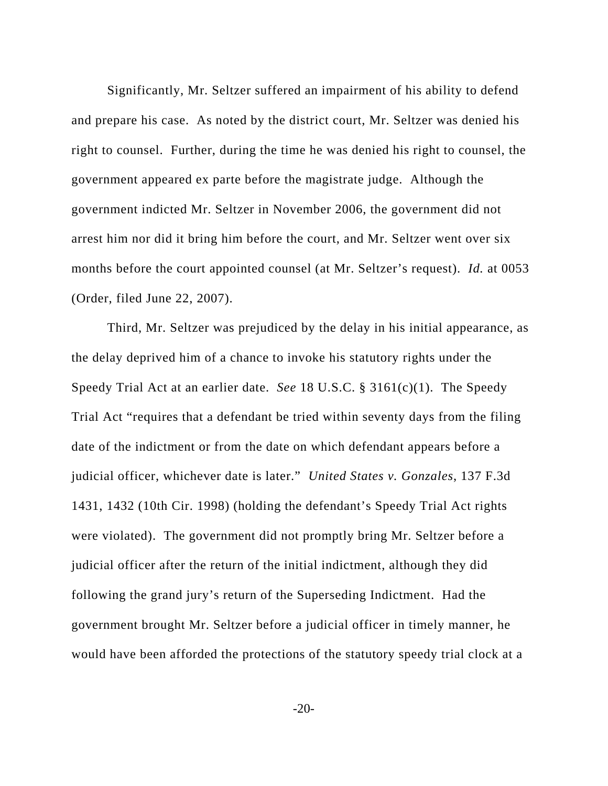Significantly, Mr. Seltzer suffered an impairment of his ability to defend and prepare his case. As noted by the district court, Mr. Seltzer was denied his right to counsel. Further, during the time he was denied his right to counsel, the government appeared ex parte before the magistrate judge. Although the government indicted Mr. Seltzer in November 2006, the government did not arrest him nor did it bring him before the court, and Mr. Seltzer went over six months before the court appointed counsel (at Mr. Seltzer's request). *Id.* at 0053 (Order, filed June 22, 2007).

 Third, Mr. Seltzer was prejudiced by the delay in his initial appearance, as the delay deprived him of a chance to invoke his statutory rights under the Speedy Trial Act at an earlier date. *See* 18 U.S.C. § 3161(c)(1). The Speedy Trial Act "requires that a defendant be tried within seventy days from the filing date of the indictment or from the date on which defendant appears before a judicial officer, whichever date is later." *United States v. Gonzales*, 137 F.3d 1431, 1432 (10th Cir. 1998) (holding the defendant's Speedy Trial Act rights were violated). The government did not promptly bring Mr. Seltzer before a judicial officer after the return of the initial indictment, although they did following the grand jury's return of the Superseding Indictment. Had the government brought Mr. Seltzer before a judicial officer in timely manner, he would have been afforded the protections of the statutory speedy trial clock at a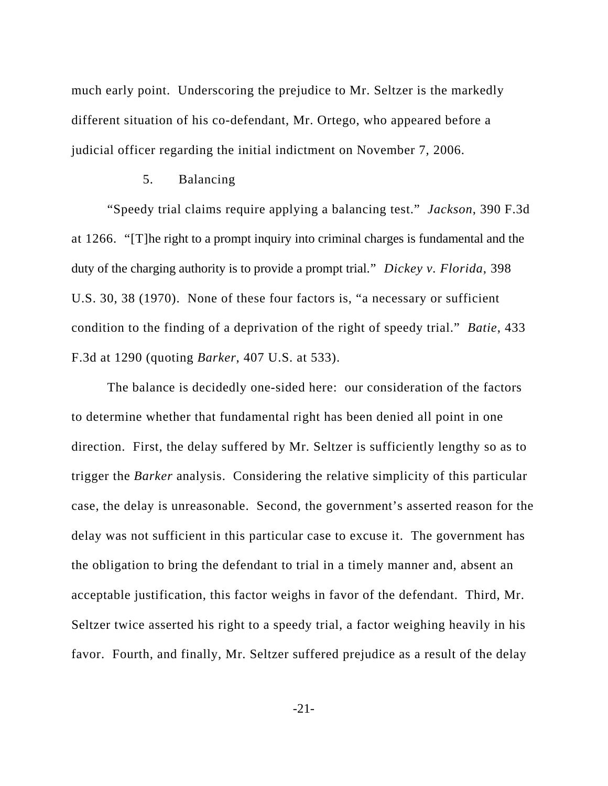much early point. Underscoring the prejudice to Mr. Seltzer is the markedly different situation of his co-defendant, Mr. Ortego, who appeared before a judicial officer regarding the initial indictment on November 7, 2006.

## 5. Balancing

 "Speedy trial claims require applying a balancing test." *Jackson*, 390 F.3d at 1266. "[T]he right to a prompt inquiry into criminal charges is fundamental and the duty of the charging authority is to provide a prompt trial." *Dickey v. Florida*, 398 U.S. 30, 38 (1970). None of these four factors is, "a necessary or sufficient condition to the finding of a deprivation of the right of speedy trial." *Batie*, 433 F.3d at 1290 (quoting *Barker*, 407 U.S. at 533).

The balance is decidedly one-sided here: our consideration of the factors to determine whether that fundamental right has been denied all point in one direction. First, the delay suffered by Mr. Seltzer is sufficiently lengthy so as to trigger the *Barker* analysis. Considering the relative simplicity of this particular case, the delay is unreasonable. Second, the government's asserted reason for the delay was not sufficient in this particular case to excuse it. The government has the obligation to bring the defendant to trial in a timely manner and, absent an acceptable justification, this factor weighs in favor of the defendant. Third, Mr. Seltzer twice asserted his right to a speedy trial, a factor weighing heavily in his favor. Fourth, and finally, Mr. Seltzer suffered prejudice as a result of the delay